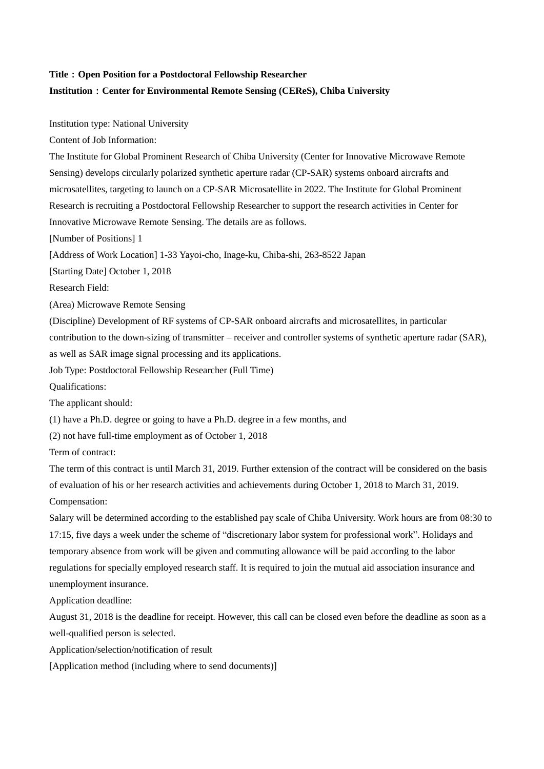## **Title**:**Open Position for a Postdoctoral Fellowship Researcher Institution**:**Center for Environmental Remote Sensing (CEReS), Chiba University**

Institution type: National University

Content of Job Information:

The Institute for Global Prominent Research of Chiba University (Center for Innovative Microwave Remote Sensing) develops circularly polarized synthetic aperture radar (CP-SAR) systems onboard aircrafts and microsatellites, targeting to launch on a CP-SAR Microsatellite in 2022. The Institute for Global Prominent Research is recruiting a Postdoctoral Fellowship Researcher to support the research activities in Center for Innovative Microwave Remote Sensing. The details are as follows.

[Number of Positions] 1

[Address of Work Location] 1-33 Yayoi-cho, Inage-ku, Chiba-shi, 263-8522 Japan

[Starting Date] October 1, 2018

Research Field:

(Area) Microwave Remote Sensing

(Discipline) Development of RF systems of CP-SAR onboard aircrafts and microsatellites, in particular

contribution to the down-sizing of transmitter – receiver and controller systems of synthetic aperture radar (SAR),

as well as SAR image signal processing and its applications.

Job Type: Postdoctoral Fellowship Researcher (Full Time)

Qualifications:

The applicant should:

(1) have a Ph.D. degree or going to have a Ph.D. degree in a few months, and

(2) not have full-time employment as of October 1, 2018

Term of contract:

The term of this contract is until March 31, 2019. Further extension of the contract will be considered on the basis of evaluation of his or her research activities and achievements during October 1, 2018 to March 31, 2019. Compensation:

Salary will be determined according to the established pay scale of Chiba University. Work hours are from 08:30 to 17:15, five days a week under the scheme of "discretionary labor system for professional work". Holidays and temporary absence from work will be given and commuting allowance will be paid according to the labor regulations for specially employed research staff. It is required to join the mutual aid association insurance and unemployment insurance.

Application deadline:

August 31, 2018 is the deadline for receipt. However, this call can be closed even before the deadline as soon as a well-qualified person is selected.

Application/selection/notification of result

[Application method (including where to send documents)]